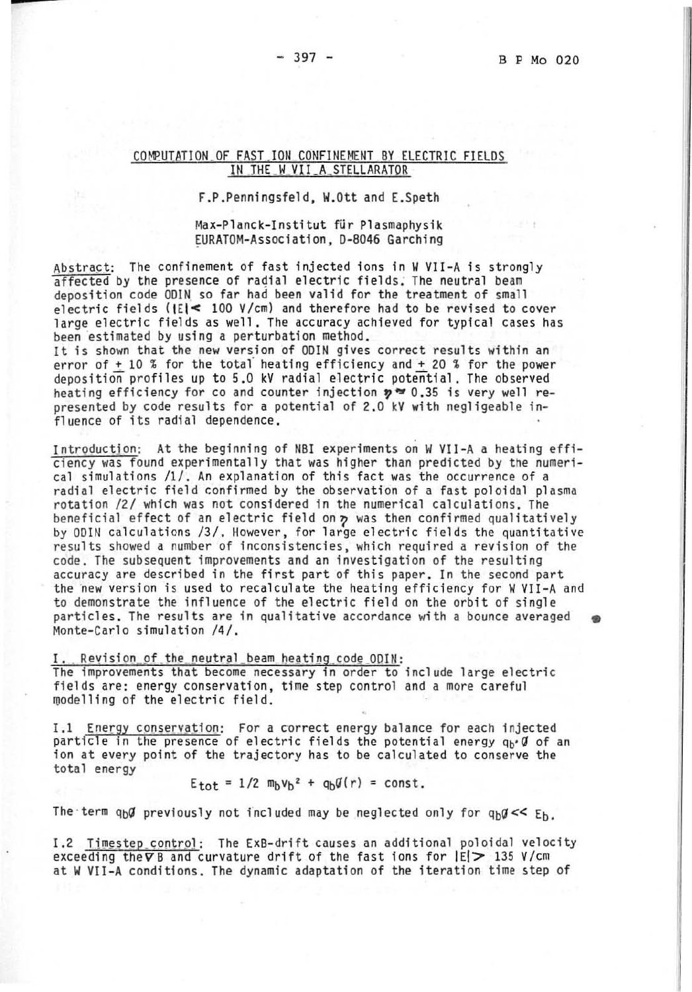# COMPUTATION OF FAST ION CONFINEMENT BY ELECTRIC FIELDS IN THE W VII A STELLARATOR

F.P.Penningsfeld, W.Ott and E.Speth

# Max-Planck-Institut für Plasmaphysik EURATOM-Association, D-8046 Garching

Abstract: The confinement of fast injected ions in W VII-A is strongly affected by the presence of radial electric fields. The neutral beam deposition code ODIN so far had been valid for the treatment of small electric fields ( $|E|$ < 100 V/cm) and therefore had to be revised to cover large electric fields as well. The accuracy achieved for typical cases has been estimated by using a perturbation method.

It is shown that the new version of ODIN gives correct results within an error of + 10 % for the total heating efficiency and + 20 % for the power deposition profiles up to 5.0 kV radial electric potential. The observed heating efficiency for co and counter injection  $y = 0.35$  is very well represented by code results for a potential of 2.0 kV with negligeable influence of its radial dependence.

Introduction: At the beginning of NBI experiments on W VII-A a heating efficiency was found experimentally that was higher than predicted by the numerical simulations /1/. An explanation of this fact was the occurrence of a radial electric field confirmed by the observation of a fast poloidal plasma rotation /2/ which was not considered in the numerical calculations. The beneficial effect of an electric field on  $p$  was then confirmed qualitatively by ODIN calculations /3/. However, for large electric fields the quantitative results showed a number of inconsistencies, which required a revision of the code. The subsequent improvements and an investigation of the resulting accuracy are described in the first part of this paper. In the second part the new version is used to recalculate the heating efficiency for W VII-A and to demonstrate the influence of the electric field on the orbit of single particles. The results are in qualitative accordance with a bounce averaged Monte-Carlo simulation /4/.

# Revision of the neutral beam heating code ODIN:

The improvements that become necessary in order to include large electric fields are: energy conservation, time step control and a more careful modelling of the electric field.

I.1 Energy conservation: For a correct energy balance for each injected particle in the presence of electric fields the potential energy  $q_b \cdot \emptyset$  of an ion at every point of the trajectory has to be calculated to conserve the total energy

 $E_{tot} = 1/2$   $m_b v_b^2 + q_b q(r) = const.$ 

The term  $q_b q$  previously not included may be neglected only for  $q_b q << E_b$ .

I.2 Timestep\_control: The ExB-drift causes an additional poloidal velocity exceeding the  $\nabla$  B and curvature drift of the fast ions for  $|E| > 135$  V/cm at W VII-A conditions. The dynamic adaptation of the iteration time step of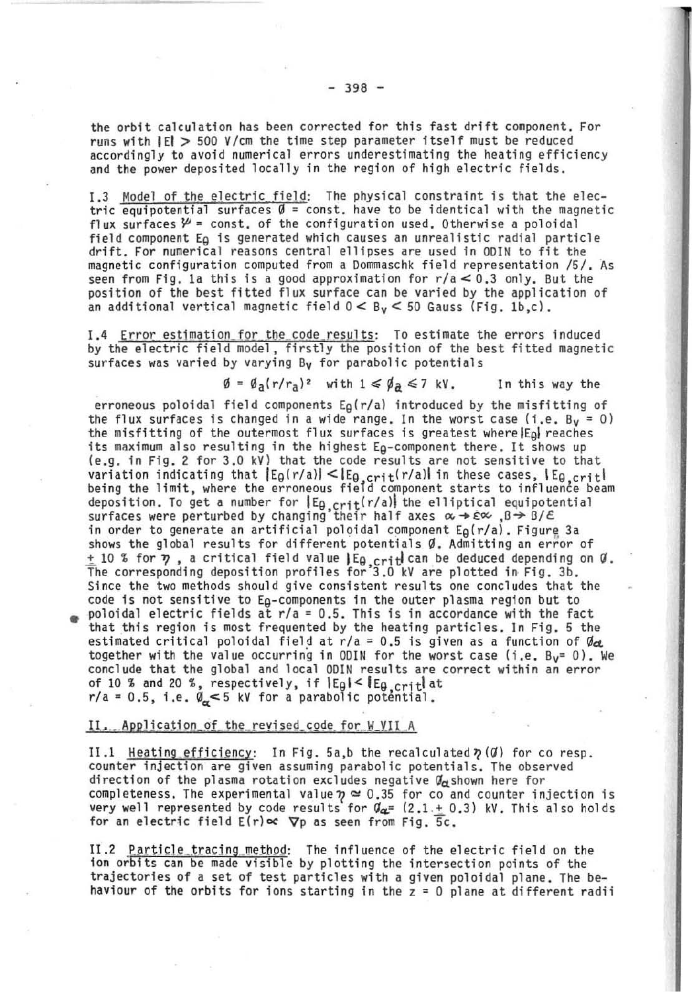the orbit calculation has been corrected for this fast drift component. For runs with IEI > 500 *V*/cm the time step parameter itself must be reduced accordingly to avoid numerical errors underestimating the heating efficiency and the power deposited locally in the region of high electric fields.

1.3 Model of the electric field: The physical constraint is that the electric equipotential surfaces  $\emptyset$  = const. have to be identical with the magnetic flux surfaces  $\mathcal{Y}$  = const. of the configuration used. Otherwise a poloidal field component E<sub>Q</sub> is generated which causes an unrealistic radial particle drift. For numerical reasons central ellipses are used in ODIN to fit the magnetic configuration computed from a Dommaschk field representation /5/. As seen from Fig. 1a this is a good approximation for  $r/a < 0.3$  only. But the position of the best fitted flux surface can be varied by the application of an additional vertical magnetic field  $0 < B<sub>v</sub> < 50$  Gauss (Fig. 1b,c).

I.4 Error estimation for the code results: To estimate the errors induced by the electric field model, firstly the position of the best fitted magnetic surfaces was varied by varying  $B_V$  for parabolic potentials

 $\emptyset = \emptyset_a(r/r_a)^2$  with  $1 \le \emptyset_a \le 7$  kV. In this way the

erroneous poloidal field components  $E_\beta(r/a)$  introduced by the misfitting of the flux surfaces is changed in a wide range. In the worst case (i.e. By = 0) the misfitting of the outermost flux surfaces is greatest where  $|E_{\Omega}|$  reaches its maximum also resulting in the highest  $E_B$ -component there. It shows up (e.g. in Fig. 2 for 3.0 kV) that the code results are not sensitive to that variation indicating that [Eg(r/a)] <[Eg crit(r/a)] in these cases, [Eg crit|<br>being the limit, where the erroneous field component starts to influence beam deposition. To get a number for  $|E_9 \text{ crit}(r/a)|$  the elliptical equipotential surfaces were perturbed by changing their half axes  $\alpha \rightarrow \epsilon \infty$ ,  $\beta \rightarrow \beta/\epsilon$ . in order to generate an artificial poloidal component  $E_\theta(r/a)$ . Figure 3a shows the global results for different potentials  $\emptyset$ . Admitting an error of  $\pm$  10 % for  $\eta$ , a critical field value  $\mathsf{E}_{\theta, \text{crit}}$  can be deduced depending on  $\theta$ .<br>The corresponding deposition profiles for 3.0 kV are plotted in Fig. 3b. Since the two methods should give consistent results one concludes that the code is not sensitive to Eg-components in the outer plasma region but to poloidal electric fields at  $r/a = 0.5$ . This is in accordance with the fact that this region is most frequented by the heating particles. In Fig. 5 the estimated critical poloidal field at  $r/a = 0.5$  is given as a function of  $\theta_{c2}$ . together with the value occurring in ODIN for the worst case (i.e.  $B_V = 0$ ). We conclude that the global and local ODIN results are correct within an error of 10 % and 20 %, respectively, if  $E_{\theta}$   $\leq$   $E_{\theta}$   $\leq$   $\frac{1}{16}$  at  $r/a = 0.5$ , i.e.  $\emptyset_{\alpha} < 5$  kV for a parabolic potential.

### II. Application of the revised code for W VII A

II.1 Heating efficiency: In Fig. 5a,b the recalculated  $\gamma$  ( $\emptyset$ ) for co resp. counter injection are given assuming parabolic potentials. The observed direction of the plasma rotation excludes negative  $\mathcal{G}_d$  shown here for completeness. The experimental value  $\eta \simeq 0.35$  for co and counter injection is very well represented by code results for  $\theta_{\alpha}=$  (2.1 + 0.3) kV. This also holds for an electric field  $E(r) \propto \nabla p$  as seen from Fig. 5c.

II.2 Particle tracing method: The influence of the electric field on the ion orbits can be made visible by plotting the intersection points of the trajectories of a set of test particles with a given poloidal plane. The behaviour of the orbits for ions starting in the  $z = 0$  plane at different radii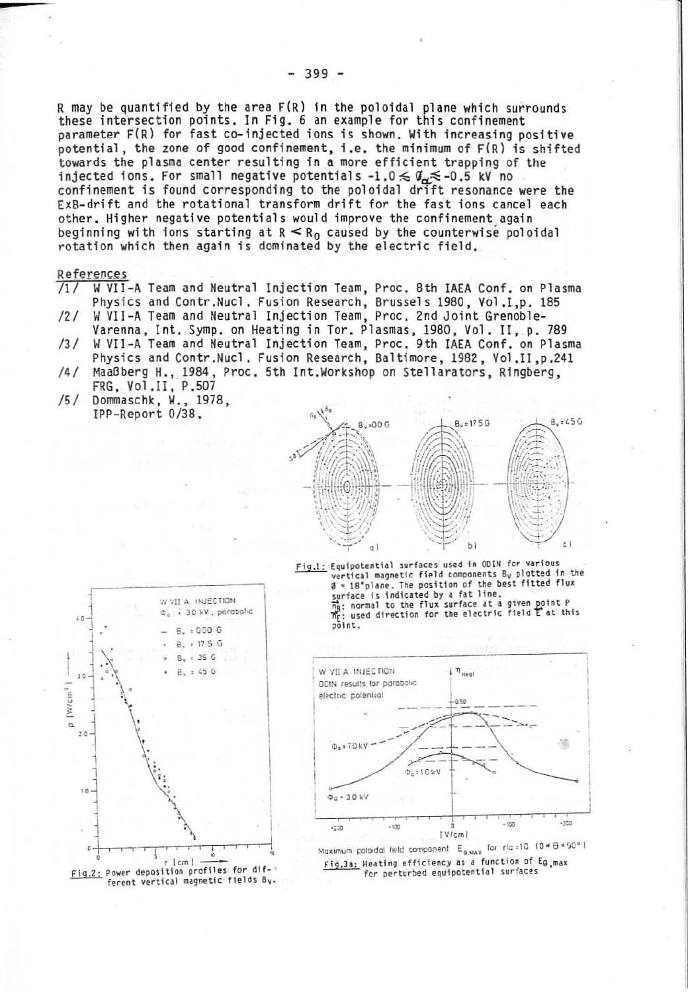R may be quantified by the area F(R) in the poloidal plane which surrounds these intersection points. In Fig. 6 an example for this confinement parameter F(R) for fast co-injected ions is shown. With increasing positive potential, the zone of good confinement, i.e. the minimum of F(R) is shifted towards the plasma center resulting in a more efficient trapping of the iniected ions. For small negative potentials  $-1.0 \n\leq \theta_n \n\leq -0.5$  kV no confinement is found corresponding to the poloidal drift resonance were the ExB-drift and the rotational transform drift for the fast ions cancel each other. Higher negative potentials would improve the confinement again beginning with ions starting at  $R \le R_0$  caused by the counterwise poloidal rotation which then again is dominated by the electric field.

#### References

- /1/ W VII-A Team and Neutral Injection Team, Proc. 8th IAEA Conf. on Plasma Physics and Contr.Nucl. Fusion Research, Brussels 1980, Vol.I.p. 185
- W VII-A Team and Neutral Injection Team, Proc. 2nd Joint Grenoble- $121$ Varenna, Int. Symp. on Heating in Tor. Plasmas, 1980, Vol. II. p. 789
- $131$ W VII-A Team and Neutral Injection Team, Proc. 9th IAEA Conf. on Plasma Physics and Contr.Nucl. Fusion Research, Baltimore, 1982, Vol.II, p.241
- Maaßberg H., 1984, Proc. 5th Int.Workshop on Stellarators. Ringberg.  $141$ FRG, Vol.II, P.507
- /5/ Dommaschk, W., 1978, IPP-Report 0/38.